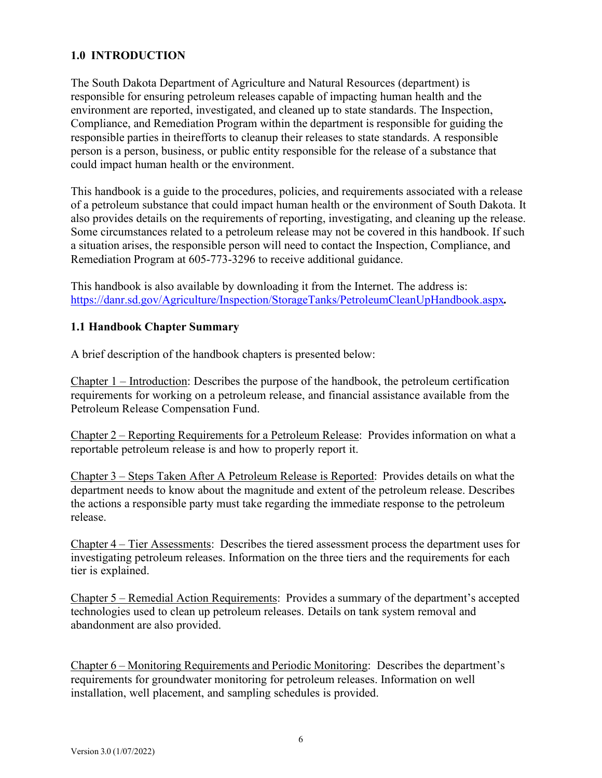## **1.0 INTRODUCTION**

The South Dakota Department of Agriculture and Natural Resources (department) is responsible for ensuring petroleum releases capable of impacting human health and the environment are reported, investigated, and cleaned up to state standards. The Inspection, Compliance, and Remediation Program within the department is responsible for guiding the responsible parties in their efforts to cleanup their releases to state standards. A responsible person is a person, business, or public entity responsible for the release of a substance that could impact human health or the environment.

This handbook is a guide to the procedures, policies, and requirements associated with a release of a petroleum substance that could impact human health or the environment of South Dakota. It also provides details on the requirements of reporting, investigating, and cleaning up the release. Some circumstances related to a petroleum release may not be covered in this handbook. If such a situation arises, the responsible person will need to contact the Inspection, Compliance, and Remediation Program at 605-773-3296 to receive additional guidance.

This handbook is also available by downloading it from the Internet. The address is[:](https://danr.sd.gov/Agriculture/Inspection/StorageTanks/PetroleumCleanUpHandbook.aspx) <https://danr.sd.gov/Agriculture/Inspection/StorageTanks/PetroleumCleanUpHandbook.aspx>*.*

## **1.1 Handbook Chapter Summary**

A brief description of the handbook chapters is presented below:

Chapter 1 – Introduction: Describes the purpose of the handbook, the petroleum certification requirements for working on a petroleum release, and financial assistance available from the Petroleum Release Compensation Fund.

Chapter 2 – Reporting Requirements for a Petroleum Release: Provides information on what a reportable petroleum release is and how to properly report it.

Chapter 3 – Steps Taken After A Petroleum Release is Reported: Provides details on what the department needs to know about the magnitude and extent of the petroleum release. Describes the actions a responsible party must take regarding the immediate response to the petroleum release.

Chapter 4 – Tier Assessments: Describes the tiered assessment process the department uses for investigating petroleum releases. Information on the three tiers and the requirements for each tier is explained.

Chapter 5 – Remedial Action Requirements: Provides a summary of the department's accepted technologies used to clean up petroleum releases. Details on tank system removal and abandonment are also provided.

Chapter 6 – Monitoring Requirements and Periodic Monitoring: Describes the department's requirements for groundwater monitoring for petroleum releases. Information on well installation, well placement, and sampling schedules is provided.